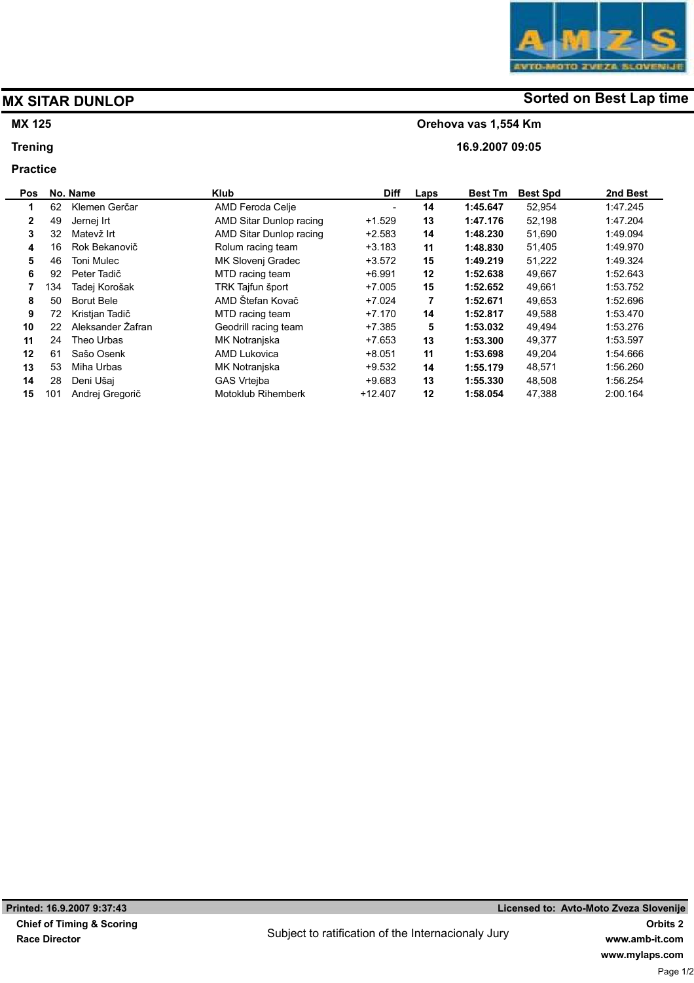## MX 125

### **Trening**

#### Practice



# MX SITAR DUNLOP **Solution** Sorted on Best Lap time

#### Orehova vas 1,554 Km

16.9.2007 09:05

| <b>Pos</b> |     | No. Name          | <b>Klub</b>               | <b>Diff</b> | Laps | <b>Best Tm</b> | <b>Best Spd</b> | 2nd Best |
|------------|-----|-------------------|---------------------------|-------------|------|----------------|-----------------|----------|
| 1          | 62  | Klemen Gerčar     | AMD Feroda Celje          |             | 14   | 1:45.647       | 52,954          | 1:47.245 |
| 2          | 49  | Jernej Irt        | AMD Sitar Dunlop racing   | $+1.529$    | 13   | 1:47.176       | 52,198          | 1.47.204 |
| 3          | 32  | Matevž Irt        | AMD Sitar Dunlop racing   | $+2.583$    | 14   | 1:48.230       | 51,690          | 1.49.094 |
| 4          | 16  | Rok Bekanovič     | Rolum racing team         | $+3.183$    | 11   | 1:48.830       | 51,405          | 1.49.970 |
| 5          | 46  | <b>Toni Mulec</b> | MK Slovenj Gradec         | $+3.572$    | 15   | 1:49.219       | 51.222          | 1:49.324 |
| 6          | 92  | Peter Tadič       | MTD racing team           | $+6.991$    | 12   | 1:52.638       | 49,667          | 1:52.643 |
|            | 134 | Tadej Korošak     | TRK Tajfun šport          | $+7.005$    | 15   | 1:52.652       | 49,661          | 1:53.752 |
| 8          | 50  | <b>Borut Bele</b> | AMD Štefan Kovač          | $+7.024$    | 7    | 1:52.671       | 49,653          | 1.52.696 |
| 9          | 72  | Kristjan Tadič    | MTD racing team           | $+7.170$    | 14   | 1:52.817       | 49,588          | 1.53.470 |
| 10         | 22  | Aleksander Zafran | Geodrill racing team      | $+7.385$    | 5    | 1:53.032       | 49,494          | 1.53.276 |
| 11         | 24  | Theo Urbas        | MK Notranjska             | $+7.653$    | 13   | 1:53.300       | 49,377          | 1:53.597 |
| 12         | 61  | Sašo Osenk        | <b>AMD Lukovica</b>       | $+8.051$    | 11   | 1:53.698       | 49.204          | 1:54.666 |
| 13         | 53  | Miha Urbas        | MK Notranjska             | $+9.532$    | 14   | 1:55.179       | 48,571          | 1:56.260 |
| 14         | 28  | Deni Ušaj         | <b>GAS Vrtejba</b>        | $+9.683$    | 13   | 1:55.330       | 48,508          | 1.56.254 |
| 15         | 101 | Andrej Gregorič   | <b>Motoklub Rihemberk</b> | $+12.407$   | 12   | 1:58.054       | 47.388          | 2:00.164 |